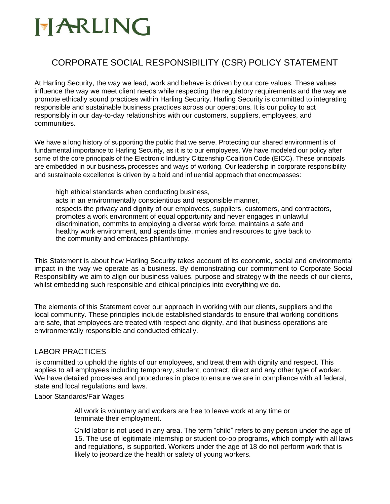### CORPORATE SOCIAL RESPONSIBILITY (CSR) POLICY STATEMENT

At Harling Security, the way we lead, work and behave is driven by our core values. These values influence the way we meet client needs while respecting the regulatory requirements and the way we promote ethically sound practices within Harling Security. Harling Security is committed to integrating responsible and sustainable business practices across our operations. It is our policy to act responsibly in our day-to-day relationships with our customers, suppliers, employees, and communities.

We have a long history of supporting the public that we serve. Protecting our shared environment is of fundamental importance to Harling Security, as it is to our employees. We have modeled our policy after some of the core principals of the Electronic Industry Citizenship Coalition Code (EICC). These principals are embedded in our business, processes and ways of working. Our leadership in corporate responsibility and sustainable excellence is driven by a bold and influential approach that encompasses:

high ethical standards when conducting business, acts in an environmentally conscientious and responsible manner, respects the privacy and dignity of our employees, suppliers, customers, and contractors, promotes a work environment of equal opportunity and never engages in unlawful discrimination, commits to employing a diverse work force, maintains a safe and healthy work environment, and spends time, monies and resources to give back to the community and embraces philanthropy.

This Statement is about how Harling Security takes account of its economic, social and environmental impact in the way we operate as a business. By demonstrating our commitment to Corporate Social Responsibility we aim to align our business values, purpose and strategy with the needs of our clients, whilst embedding such responsible and ethical principles into everything we do.

The elements of this Statement cover our approach in working with our clients, suppliers and the local community. These principles include established standards to ensure that working conditions are safe, that employees are treated with respect and dignity, and that business operations are environmentally responsible and conducted ethically.

### LABOR PRACTICES

is committed to uphold the rights of our employees, and treat them with dignity and respect. This applies to all employees including temporary, student, contract, direct and any other type of worker. We have detailed processes and procedures in place to ensure we are in compliance with all federal, state and local regulations and laws.

#### Labor Standards/Fair Wages

All work is voluntary and workers are free to leave work at any time or terminate their employment.

Child labor is not used in any area. The term "child" refers to any person under the age of 15. The use of legitimate internship or student co-op programs, which comply with all laws and regulations, is supported. Workers under the age of 18 do not perform work that is likely to jeopardize the health or safety of young workers.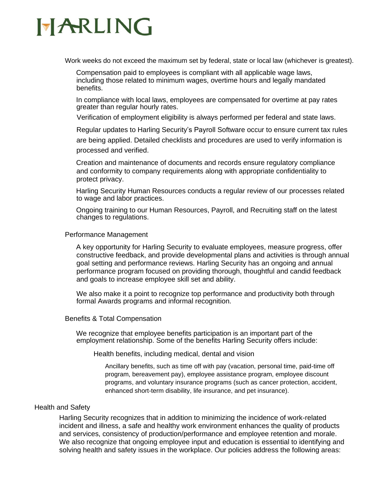Work weeks do not exceed the maximum set by federal, state or local law (whichever is greatest).

Compensation paid to employees is compliant with all applicable wage laws, including those related to minimum wages, overtime hours and legally mandated benefits.

In compliance with local laws, employees are compensated for overtime at pay rates greater than regular hourly rates.

Verification of employment eligibility is always performed per federal and state laws.

Regular updates to Harling Security's Payroll Software occur to ensure current tax rules

are being applied. Detailed checklists and procedures are used to verify information is processed and verified.

Creation and maintenance of documents and records ensure regulatory compliance and conformity to company requirements along with appropriate confidentiality to protect privacy.

Harling Security Human Resources conducts a regular review of our processes related to wage and labor practices.

Ongoing training to our Human Resources, Payroll, and Recruiting staff on the latest changes to regulations.

#### Performance Management

A key opportunity for Harling Security to evaluate employees, measure progress, offer constructive feedback, and provide developmental plans and activities is through annual goal setting and performance reviews. Harling Security has an ongoing and annual performance program focused on providing thorough, thoughtful and candid feedback and goals to increase employee skill set and ability.

We also make it a point to recognize top performance and productivity both through formal Awards programs and informal recognition.

#### Benefits & Total Compensation

We recognize that employee benefits participation is an important part of the employment relationship. Some of the benefits Harling Security offers include:

Health benefits, including medical, dental and vision

Ancillary benefits, such as time off with pay (vacation, personal time, paid-time off program, bereavement pay), employee assistance program, employee discount programs, and voluntary insurance programs (such as cancer protection, accident, enhanced short-term disability, life insurance, and pet insurance).

#### Health and Safety

Harling Security recognizes that in addition to minimizing the incidence of work-related incident and illness, a safe and healthy work environment enhances the quality of products and services, consistency of production/performance and employee retention and morale. We also recognize that ongoing employee input and education is essential to identifying and solving health and safety issues in the workplace. Our policies address the following areas: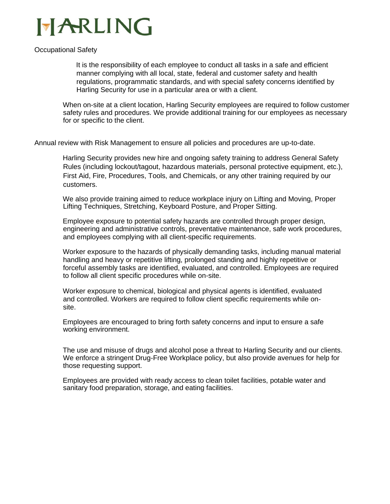

#### Occupational Safety

It is the responsibility of each employee to conduct all tasks in a safe and efficient manner complying with all local, state, federal and customer safety and health regulations, programmatic standards, and with special safety concerns identified by Harling Security for use in a particular area or with a client.

When on-site at a client location, Harling Security employees are required to follow customer safety rules and procedures. We provide additional training for our employees as necessary for or specific to the client.

Annual review with Risk Management to ensure all policies and procedures are up-to-date.

Harling Security provides new hire and ongoing safety training to address General Safety Rules (including lockout/tagout, hazardous materials, personal protective equipment, etc.), First Aid, Fire, Procedures, Tools, and Chemicals, or any other training required by our customers.

We also provide training aimed to reduce workplace injury on Lifting and Moving, Proper Lifting Techniques, Stretching, Keyboard Posture, and Proper Sitting.

Employee exposure to potential safety hazards are controlled through proper design, engineering and administrative controls, preventative maintenance, safe work procedures, and employees complying with all client-specific requirements.

Worker exposure to the hazards of physically demanding tasks, including manual material handling and heavy or repetitive lifting, prolonged standing and highly repetitive or forceful assembly tasks are identified, evaluated, and controlled. Employees are required to follow all client specific procedures while on-site.

Worker exposure to chemical, biological and physical agents is identified, evaluated and controlled. Workers are required to follow client specific requirements while onsite.

Employees are encouraged to bring forth safety concerns and input to ensure a safe working environment.

The use and misuse of drugs and alcohol pose a threat to Harling Security and our clients. We enforce a stringent Drug-Free Workplace policy, but also provide avenues for help for those requesting support.

Employees are provided with ready access to clean toilet facilities, potable water and sanitary food preparation, storage, and eating facilities.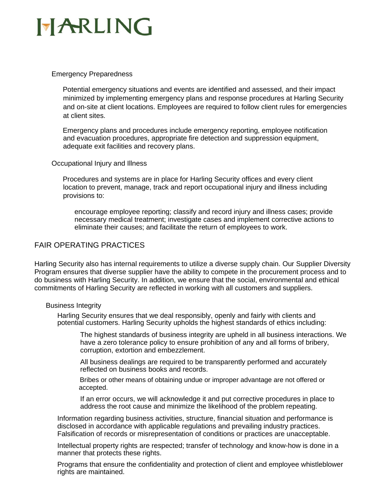## HARLING

#### Emergency Preparedness

Potential emergency situations and events are identified and assessed, and their impact minimized by implementing emergency plans and response procedures at Harling Security and on-site at client locations. Employees are required to follow client rules for emergencies at client sites.

Emergency plans and procedures include emergency reporting, employee notification and evacuation procedures, appropriate fire detection and suppression equipment, adequate exit facilities and recovery plans.

#### Occupational Injury and Illness

Procedures and systems are in place for Harling Security offices and every client location to prevent, manage, track and report occupational injury and illness including provisions to:

encourage employee reporting; classify and record injury and illness cases; provide necessary medical treatment; investigate cases and implement corrective actions to eliminate their causes; and facilitate the return of employees to work.

### FAIR OPERATING PRACTICES

Harling Security also has internal requirements to utilize a diverse supply chain. Our Supplier Diversity Program ensures that diverse supplier have the ability to compete in the procurement process and to do business with Harling Security. In addition, we ensure that the social, environmental and ethical commitments of Harling Security are reflected in working with all customers and suppliers.

#### Business Integrity

Harling Security ensures that we deal responsibly, openly and fairly with clients and potential customers. Harling Security upholds the highest standards of ethics including:

The highest standards of business integrity are upheld in all business interactions. We have a zero tolerance policy to ensure prohibition of any and all forms of bribery, corruption, extortion and embezzlement.

All business dealings are required to be transparently performed and accurately reflected on business books and records.

 Bribes or other means of obtaining undue or improper advantage are not offered or accepted.

If an error occurs, we will acknowledge it and put corrective procedures in place to address the root cause and minimize the likelihood of the problem repeating.

Information regarding business activities, structure, financial situation and performance is disclosed in accordance with applicable regulations and prevailing industry practices. Falsification of records or misrepresentation of conditions or practices are unacceptable.

Intellectual property rights are respected; transfer of technology and know-how is done in a manner that protects these rights.

Programs that ensure the confidentiality and protection of client and employee whistleblower rights are maintained.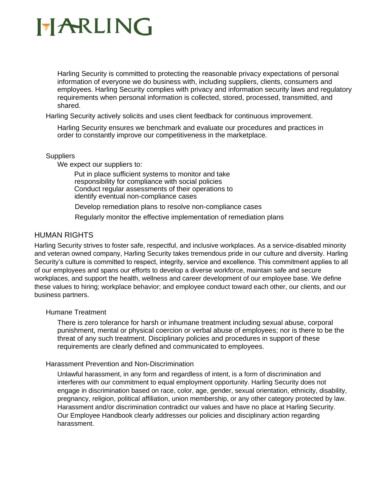Harling Security is committed to protecting the reasonable privacy expectations of personal information of everyone we do business with, including suppliers, clients, consumers and employees. Harling Security complies with privacy and information security laws and regulatory requirements when personal information is collected, stored, processed, transmitted, and shared.

Harling Security actively solicits and uses client feedback for continuous improvement.

Harling Security ensures we benchmark and evaluate our procedures and practices in order to constantly improve our competitiveness in the marketplace.

#### **Suppliers**

We expect our suppliers to:

Put in place sufficient systems to monitor and take responsibility for compliance with social policies Conduct regular assessments of their operations to identify eventual non-compliance cases

Develop remediation plans to resolve non-compliance cases

Regularly monitor the effective implementation of remediation plans

### HUMAN RIGHTS

Harling Security strives to foster safe, respectful, and inclusive workplaces. As a service-disabled minority and veteran owned company, Harling Security takes tremendous pride in our culture and diversity. Harling Security's culture is committed to respect, integrity, service and excellence. This commitment applies to all of our employees and spans our efforts to develop a diverse workforce, maintain safe and secure workplaces, and support the health, wellness and career development of our employee base. We define these values to hiring; workplace behavior; and employee conduct toward each other, our clients, and our business partners.

#### Humane Treatment

There is zero tolerance for harsh or inhumane treatment including sexual abuse, corporal punishment, mental or physical coercion or verbal abuse of employees; nor is there to be the threat of any such treatment. Disciplinary policies and procedures in support of these requirements are clearly defined and communicated to employees.

#### Harassment Prevention and Non-Discrimination

Unlawful harassment, in any form and regardless of intent, is a form of discrimination and interferes with our commitment to equal employment opportunity. Harling Security does not engage in discrimination based on race, color, age, gender, sexual orientation, ethnicity, disability, pregnancy, religion, political affiliation, union membership, or any other category protected by law. Harassment and/or discrimination contradict our values and have no place at Harling Security. Our Employee Handbook clearly addresses our policies and disciplinary action regarding harassment.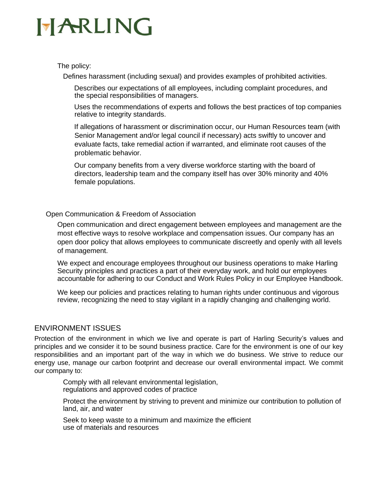The policy:

Defines harassment (including sexual) and provides examples of prohibited activities.

Describes our expectations of all employees, including complaint procedures, and the special responsibilities of managers.

Uses the recommendations of experts and follows the best practices of top companies relative to integrity standards.

If allegations of harassment or discrimination occur, our Human Resources team (with Senior Management and/or legal council if necessary) acts swiftly to uncover and evaluate facts, take remedial action if warranted, and eliminate root causes of the problematic behavior.

Our company benefits from a very diverse workforce starting with the board of directors, leadership team and the company itself has over 30% minority and 40% female populations.

#### Open Communication & Freedom of Association

Open communication and direct engagement between employees and management are the most effective ways to resolve workplace and compensation issues. Our company has an open door policy that allows employees to communicate discreetly and openly with all levels of management.

We expect and encourage employees throughout our business operations to make Harling Security principles and practices a part of their everyday work, and hold our employees accountable for adhering to our Conduct and Work Rules Policy in our Employee Handbook.

We keep our policies and practices relating to human rights under continuous and vigorous review, recognizing the need to stay vigilant in a rapidly changing and challenging world.

### ENVIRONMENT ISSUES

Protection of the environment in which we live and operate is part of Harling Security's values and principles and we consider it to be sound business practice. Care for the environment is one of our key responsibilities and an important part of the way in which we do business. We strive to reduce our energy use, manage our carbon footprint and decrease our overall environmental impact. We commit our company to:

Comply with all relevant environmental legislation, regulations and approved codes of practice

Protect the environment by striving to prevent and minimize our contribution to pollution of land, air, and water

Seek to keep waste to a minimum and maximize the efficient use of materials and resources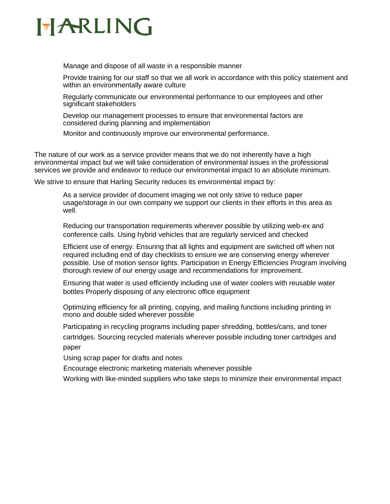## HARLING

Manage and dispose of all waste in a responsible manner

Provide training for our staff so that we all work in accordance with this policy statement and within an environmentally aware culture

Regularly communicate our environmental performance to our employees and other significant stakeholders

Develop our management processes to ensure that environmental factors are considered during planning and implementation

Monitor and continuously improve our environmental performance.

The nature of our work as a service provider means that we do not inherently have a high environmental impact but we will take consideration of environmental issues in the professional services we provide and endeavor to reduce our environmental impact to an absolute minimum.

We strive to ensure that Harling Security reduces its environmental impact by:

As a service provider of document imaging we not only strive to reduce paper usage/storage in our own company we support our clients in their efforts in this area as well.

Reducing our transportation requirements wherever possible by utilizing web-ex and conference calls. Using hybrid vehicles that are regularly serviced and checked

Efficient use of energy. Ensuring that all lights and equipment are switched off when not required including end of day checklists to ensure we are conserving energy wherever possible. Use of motion sensor lights. Participation in Energy Efficiencies Program involving thorough review of our energy usage and recommendations for improvement.

Ensuring that water is used efficiently including use of water coolers with reusable water bottles Properly disposing of any electronic office equipment

Optimizing efficiency for all printing, copying, and mailing functions including printing in mono and double sided wherever possible

Participating in recycling programs including paper shredding, bottles/cans, and toner cartridges. Sourcing recycled materials wherever possible including toner cartridges and paper

Using scrap paper for drafts and notes

Encourage electronic marketing materials whenever possible

Working with like-minded suppliers who take steps to minimize their environmental impact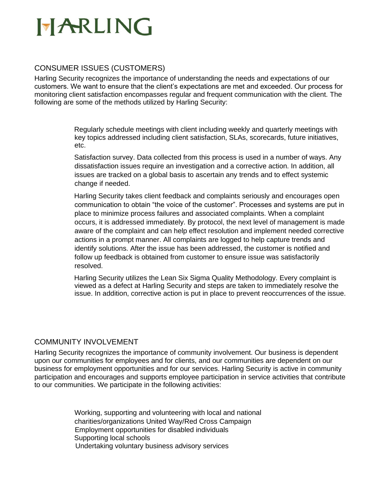### CONSUMER ISSUES (CUSTOMERS)

Harling Security recognizes the importance of understanding the needs and expectations of our customers. We want to ensure that the client's expectations are met and exceeded. Our process for monitoring client satisfaction encompasses regular and frequent communication with the client. The following are some of the methods utilized by Harling Security:

> Regularly schedule meetings with client including weekly and quarterly meetings with key topics addressed including client satisfaction, SLAs, scorecards, future initiatives, etc.

Satisfaction survey. Data collected from this process is used in a number of ways. Any dissatisfaction issues require an investigation and a corrective action. In addition, all issues are tracked on a global basis to ascertain any trends and to effect systemic change if needed.

Harling Security takes client feedback and complaints seriously and encourages open communication to obtain "the voice of the customer". Processes and systems are put in place to minimize process failures and associated complaints. When a complaint occurs, it is addressed immediately. By protocol, the next level of management is made aware of the complaint and can help effect resolution and implement needed corrective actions in a prompt manner. All complaints are logged to help capture trends and identify solutions. After the issue has been addressed, the customer is notified and follow up feedback is obtained from customer to ensure issue was satisfactorily resolved.

Harling Security utilizes the Lean Six Sigma Quality Methodology. Every complaint is viewed as a defect at Harling Security and steps are taken to immediately resolve the issue. In addition, corrective action is put in place to prevent reoccurrences of the issue.

### COMMUNITY INVOLVEMENT

Harling Security recognizes the importance of community involvement. Our business is dependent upon our communities for employees and for clients, and our communities are dependent on our business for employment opportunities and for our services. Harling Security is active in community participation and encourages and supports employee participation in service activities that contribute to our communities. We participate in the following activities:

> Working, supporting and volunteering with local and national charities/organizations United Way/Red Cross Campaign Employment opportunities for disabled individuals Supporting local schools Undertaking voluntary business advisory services